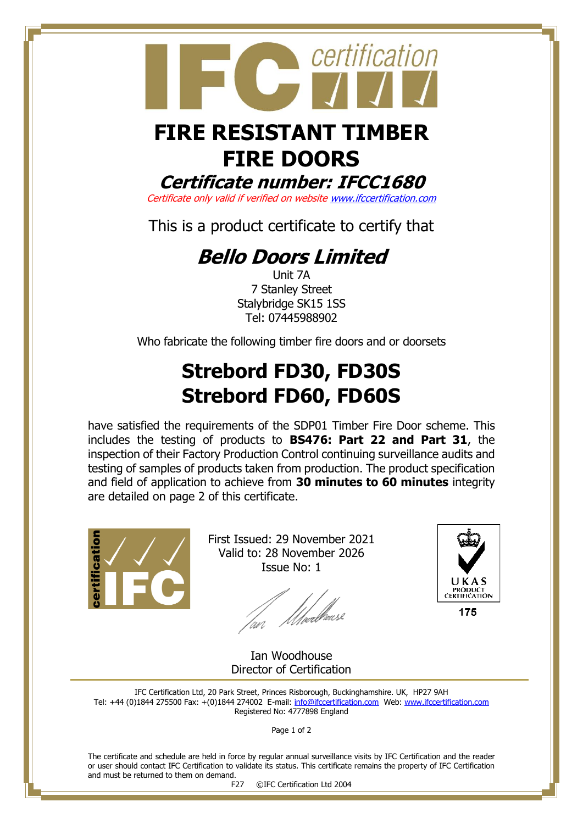

# **FIRE DOORS**

#### **Certificate number: IFCC1680**

Certificate only valid if verified on websit[e www.ifccertification.com](http://www.ifccertification.com/)

This is a product certificate to certify that

### **Bello Doors Limited**

Unit 7A 7 Stanley Street Stalybridge SK15 1SS Tel: 07445988902

Who fabricate the following timber fire doors and or doorsets

## **Strebord FD30, FD30S Strebord FD60, FD60S**

have satisfied the requirements of the SDP01 Timber Fire Door scheme. This includes the testing of products to **BS476: Part 22 and Part 31**, the inspection of their Factory Production Control continuing surveillance audits and testing of samples of products taken from production. The product specification and field of application to achieve from **30 minutes to 60 minutes** integrity are detailed on page 2 of this certificate.



First Issued: 29 November 2021 Valid to: 28 November 2026 Issue No: 1

lan Meedhaase



175

Ian Woodhouse Director of Certification

IFC Certification Ltd, 20 Park Street, Princes Risborough, Buckinghamshire. UK, HP27 9AH Tel: +44 (0)1844 275500 Fax: +(0)1844 274002 E-mail[: info@ifccertification.com](mailto:info@ifccertification.com) Web: [www.ifccertification.com](http://www.ifccertification.com/) Registered No: 4777898 England

Page 1 of 2

The certificate and schedule are held in force by regular annual surveillance visits by IFC Certification and the reader or user should contact IFC Certification to validate its status. This certificate remains the property of IFC Certification and must be returned to them on demand.

F27 ©IFC Certification Ltd 2004